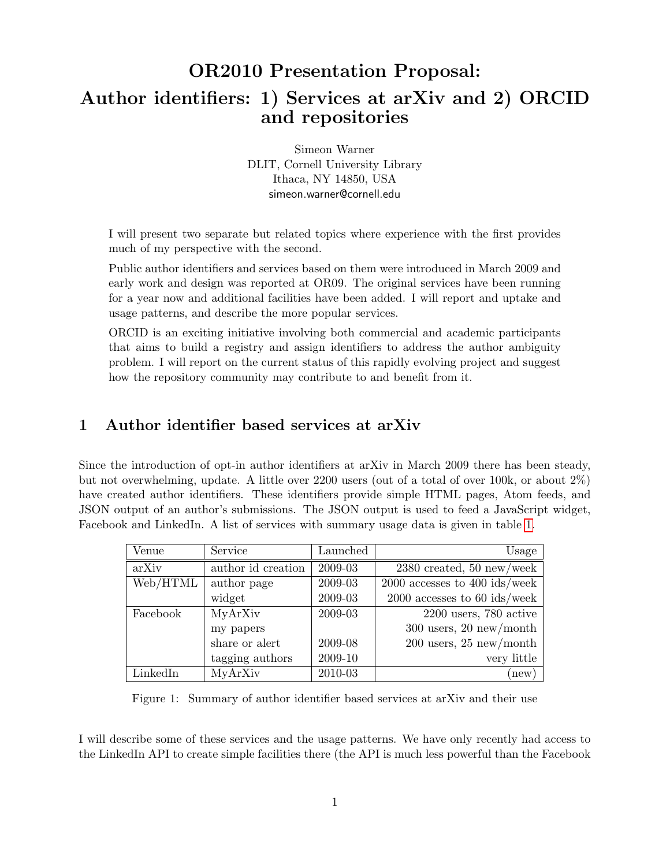## OR2010 Presentation Proposal: Author identifiers: 1) Services at arXiv and 2) ORCID and repositories

Simeon Warner DLIT, Cornell University Library Ithaca, NY 14850, USA simeon.warner@cornell.edu

I will present two separate but related topics where experience with the first provides much of my perspective with the second.

Public author identifiers and services based on them were introduced in March 2009 and early work and design was reported at OR09. The original services have been running for a year now and additional facilities have been added. I will report and uptake and usage patterns, and describe the more popular services.

ORCID is an exciting initiative involving both commercial and academic participants that aims to build a registry and assign identifiers to address the author ambiguity problem. I will report on the current status of this rapidly evolving project and suggest how the repository community may contribute to and benefit from it.

## 1 Author identifier based services at arXiv

Since the introduction of opt-in author identifiers at arXiv in March 2009 there has been steady, but not overwhelming, update. A little over 2200 users (out of a total of over 100k, or about 2%) have created author identifiers. These identifiers provide simple HTML pages, Atom feeds, and JSON output of an author's submissions. The JSON output is used to feed a JavaScript widget, Facebook and LinkedIn. A list of services with summary usage data is given in table [1.](#page-0-0)

| Venue    | Service            | Launched | Usage                             |
|----------|--------------------|----------|-----------------------------------|
| arXiv    | author id creation | 2009-03  | $2380$ created, 50 new/week       |
| Web/HTML | author page        | 2009-03  | $2000$ accesses to $400$ ids/week |
|          | widget             | 2009-03  | $2000$ accesses to 60 ids/week    |
| Facebook | MyArXiv            | 2009-03  | $2200$ users, 780 active          |
|          | my papers          |          | $300$ users, $20$ new/month       |
|          | share or alert     | 2009-08  | $200$ users, $25$ new/month       |
|          | tagging authors    | 2009-10  | very little                       |
| LinkedIn | MyArXiv            | 2010-03  | (new)                             |

<span id="page-0-0"></span>Figure 1: Summary of author identifier based services at arXiv and their use

I will describe some of these services and the usage patterns. We have only recently had access to the LinkedIn API to create simple facilities there (the API is much less powerful than the Facebook